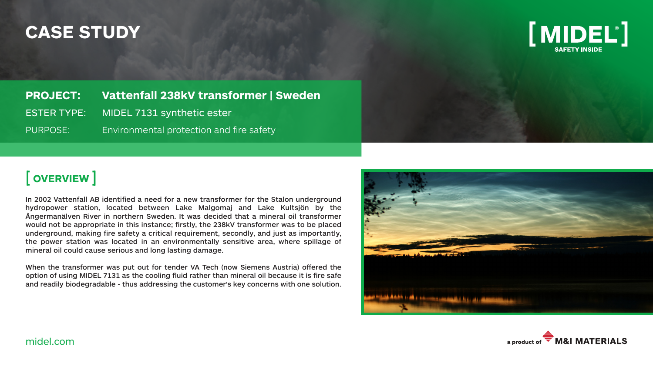## **CASE STUDY**



**PROJECT: Vattenfall 238kV transformer | Sweden** ESTER TYPE: MIDEL 7131 synthetic ester PURPOSE: Environmental protection and fire safety

### [ **OVERVIEW** ]

In 2002 Vattenfall AB identified a need for a new transformer for the Stalon underground hydropower station, located between Lake Malgomaj and Lake Kultsjön by the Ångermanälven River in northern Sweden. It was decided that a mineral oil transformer would not be appropriate in this instance; firstly, the 238kV transformer was to be placed underground, making fire safety a critical requirement, secondly, and just as importantly, the power station was located in an environmentally sensitive area, where spillage of mineral oil could cause serious and long lasting damage.

When the transformer was put out for tender VA Tech (now Siemens Austria) offered the option of using MIDEL 7131 as the cooling fluid rather than mineral oil because it is fire safe and readily biodegradable - thus addressing the customer's key concerns with one solution.